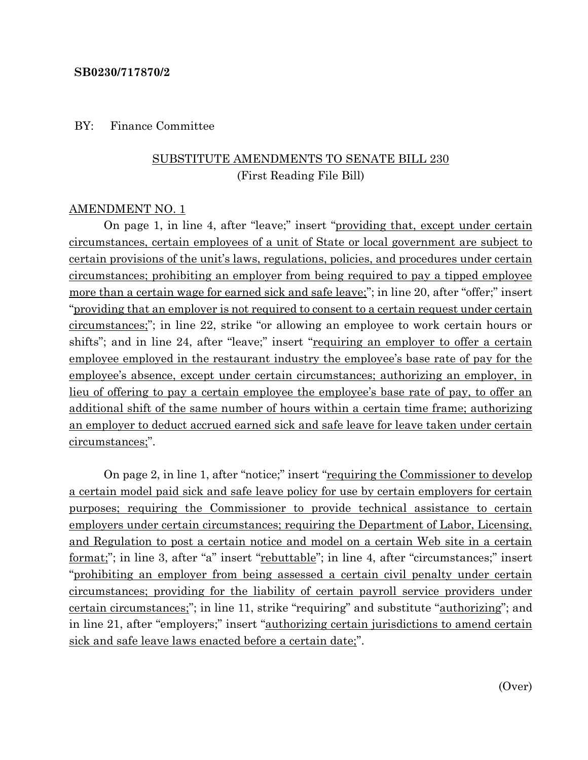#### **SB0230/717870/2**

#### BY: Finance Committee

## SUBSTITUTE AMENDMENTS TO SENATE BILL 230 (First Reading File Bill)

#### AMENDMENT NO. 1

On page 1, in line 4, after "leave;" insert "providing that, except under certain circumstances, certain employees of a unit of State or local government are subject to certain provisions of the unit's laws, regulations, policies, and procedures under certain circumstances; prohibiting an employer from being required to pay a tipped employee more than a certain wage for earned sick and safe leave;"; in line 20, after "offer;" insert "providing that an employer is not required to consent to a certain request under certain circumstances;"; in line 22, strike "or allowing an employee to work certain hours or shifts"; and in line 24, after "leave;" insert "requiring an employer to offer a certain employee employed in the restaurant industry the employee's base rate of pay for the employee's absence, except under certain circumstances; authorizing an employer, in lieu of offering to pay a certain employee the employee's base rate of pay, to offer an additional shift of the same number of hours within a certain time frame; authorizing an employer to deduct accrued earned sick and safe leave for leave taken under certain circumstances;".

On page 2, in line 1, after "notice;" insert "requiring the Commissioner to develop a certain model paid sick and safe leave policy for use by certain employers for certain purposes; requiring the Commissioner to provide technical assistance to certain employers under certain circumstances; requiring the Department of Labor, Licensing, and Regulation to post a certain notice and model on a certain Web site in a certain format;"; in line 3, after "a" insert "rebuttable"; in line 4, after "circumstances;" insert "prohibiting an employer from being assessed a certain civil penalty under certain circumstances; providing for the liability of certain payroll service providers under certain circumstances;"; in line 11, strike "requiring" and substitute "authorizing"; and in line 21, after "employers;" insert "authorizing certain jurisdictions to amend certain sick and safe leave laws enacted before a certain date;".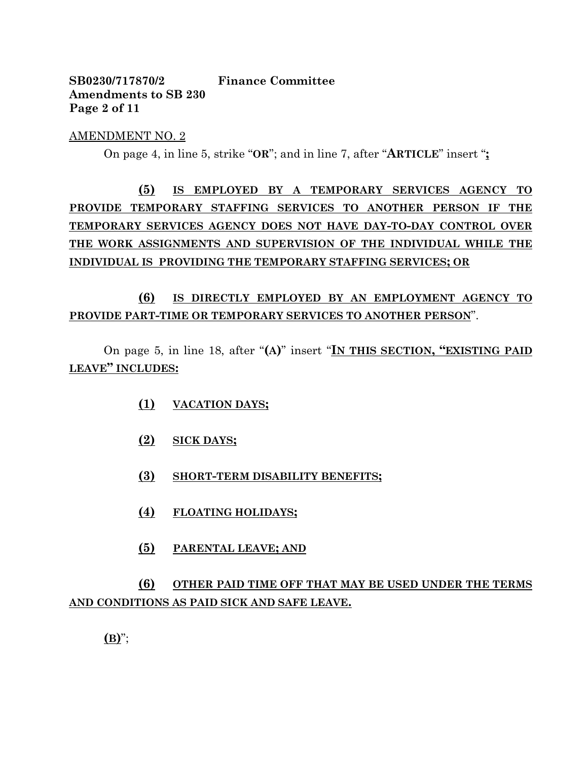## **SB0230/717870/2 Finance Committee Amendments to SB 230 Page 2 of 11**

#### AMENDMENT NO. 2

On page 4, in line 5, strike "**OR**"; and in line 7, after "**ARTICLE**" insert "**;**

**(5) IS EMPLOYED BY A TEMPORARY SERVICES AGENCY TO PROVIDE TEMPORARY STAFFING SERVICES TO ANOTHER PERSON IF THE TEMPORARY SERVICES AGENCY DOES NOT HAVE DAY-TO-DAY CONTROL OVER THE WORK ASSIGNMENTS AND SUPERVISION OF THE INDIVIDUAL WHILE THE INDIVIDUAL IS PROVIDING THE TEMPORARY STAFFING SERVICES; OR**

## **(6) IS DIRECTLY EMPLOYED BY AN EMPLOYMENT AGENCY TO PROVIDE PART-TIME OR TEMPORARY SERVICES TO ANOTHER PERSON**".

On page 5, in line 18, after "**(A)**" insert "**IN THIS SECTION, "EXISTING PAID LEAVE" INCLUDES:**

- **(1) VACATION DAYS;**
- **(2) SICK DAYS;**
- **(3) SHORT-TERM DISABILITY BENEFITS;**
- **(4) FLOATING HOLIDAYS;**
- **(5) PARENTAL LEAVE; AND**

## **(6) OTHER PAID TIME OFF THAT MAY BE USED UNDER THE TERMS AND CONDITIONS AS PAID SICK AND SAFE LEAVE.**

**(B)**";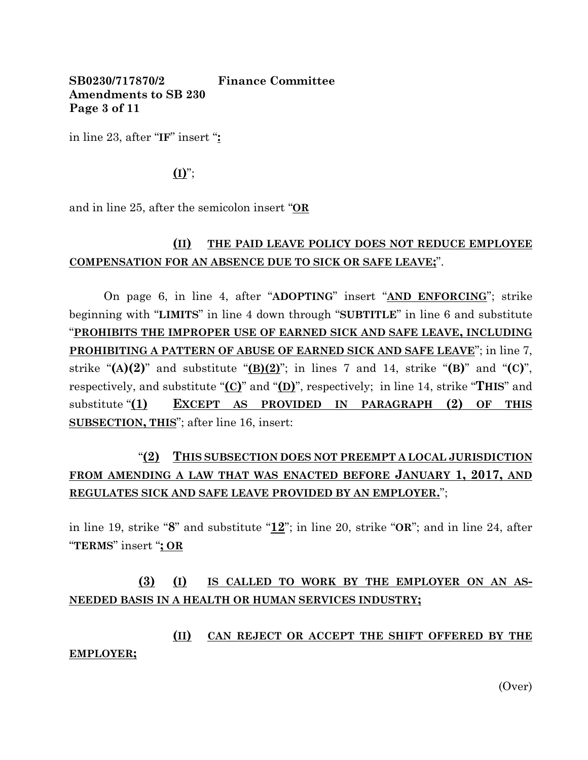### **SB0230/717870/2 Finance Committee Amendments to SB 230 Page 3 of 11**

in line 23, after "**IF**" insert "**:**

### $($ **I** $)$ ";

and in line 25, after the semicolon insert "**OR**

## **(II) THE PAID LEAVE POLICY DOES NOT REDUCE EMPLOYEE COMPENSATION FOR AN ABSENCE DUE TO SICK OR SAFE LEAVE;**".

On page 6, in line 4, after "**ADOPTING**" insert "**AND ENFORCING**"; strike beginning with "**LIMITS**" in line 4 down through "**SUBTITLE**" in line 6 and substitute "**PROHIBITS THE IMPROPER USE OF EARNED SICK AND SAFE LEAVE, INCLUDING PROHIBITING A PATTERN OF ABUSE OF EARNED SICK AND SAFE LEAVE**"; in line 7, strike " $(A)(2)$ " and substitute " $(B)(2)$ "; in lines 7 and 14, strike " $(B)$ " and " $(C)$ ", respectively, and substitute "**(C)**" and "**(D)**", respectively; in line 14, strike "**THIS**" and substitute "**(1) EXCEPT AS PROVIDED IN PARAGRAPH (2) OF THIS SUBSECTION, THIS**"; after line 16, insert:

## "**(2) THIS SUBSECTION DOES NOT PREEMPT A LOCAL JURISDICTION FROM AMENDING A LAW THAT WAS ENACTED BEFORE JANUARY 1, 2017, AND REGULATES SICK AND SAFE LEAVE PROVIDED BY AN EMPLOYER.**";

in line 19, strike "**8**" and substitute "**12**"; in line 20, strike "**OR**"; and in line 24, after "**TERMS**" insert "**; OR**

## **(3) (I) IS CALLED TO WORK BY THE EMPLOYER ON AN AS-NEEDED BASIS IN A HEALTH OR HUMAN SERVICES INDUSTRY;**

## **(II) CAN REJECT OR ACCEPT THE SHIFT OFFERED BY THE EMPLOYER;**

(Over)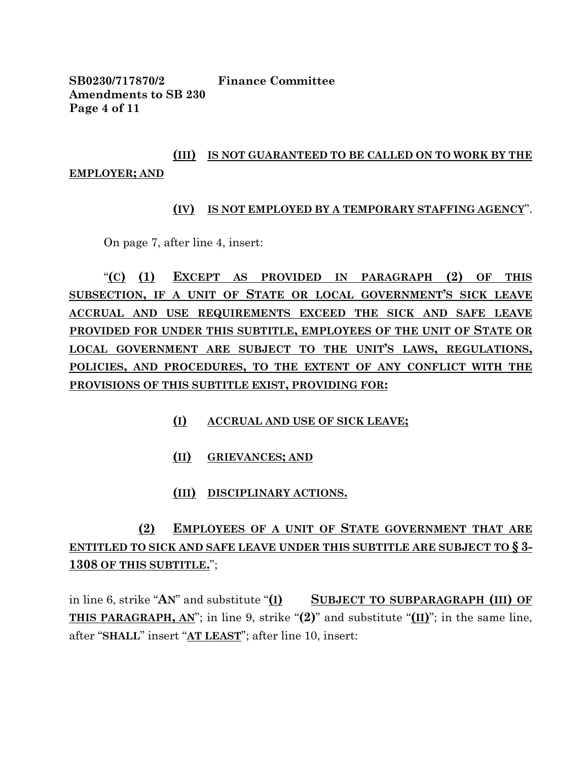**SB0230/717870/2 Finance Committee Amendments to SB 230 Page 4 of 11**

# **(III) IS NOT GUARANTEED TO BE CALLED ON TO WORK BY THE EMPLOYER; AND**

### **(IV) IS NOT EMPLOYED BY A TEMPORARY STAFFING AGENCY**".

On page 7, after line 4, insert:

"**(C) (1) EXCEPT AS PROVIDED IN PARAGRAPH (2) OF THIS SUBSECTION, IF A UNIT OF STATE OR LOCAL GOVERNMENT'S SICK LEAVE ACCRUAL AND USE REQUIREMENTS EXCEED THE SICK AND SAFE LEAVE PROVIDED FOR UNDER THIS SUBTITLE, EMPLOYEES OF THE UNIT OF STATE OR LOCAL GOVERNMENT ARE SUBJECT TO THE UNIT'S LAWS, REGULATIONS, POLICIES, AND PROCEDURES, TO THE EXTENT OF ANY CONFLICT WITH THE PROVISIONS OF THIS SUBTITLE EXIST, PROVIDING FOR:**

- **(I) ACCRUAL AND USE OF SICK LEAVE;**
- **(II) GRIEVANCES; AND**

### **(III) DISCIPLINARY ACTIONS.**

# **(2) EMPLOYEES OF A UNIT OF STATE GOVERNMENT THAT ARE ENTITLED TO SICK AND SAFE LEAVE UNDER THIS SUBTITLE ARE SUBJECT TO § 3- 1308 OF THIS SUBTITLE.**";

in line 6, strike "**AN**" and substitute "**(I) SUBJECT TO SUBPARAGRAPH (III) OF THIS PARAGRAPH, AN**"; in line 9, strike "**(2)**" and substitute "**(II)**"; in the same line, after "**SHALL**" insert "**AT LEAST**"; after line 10, insert: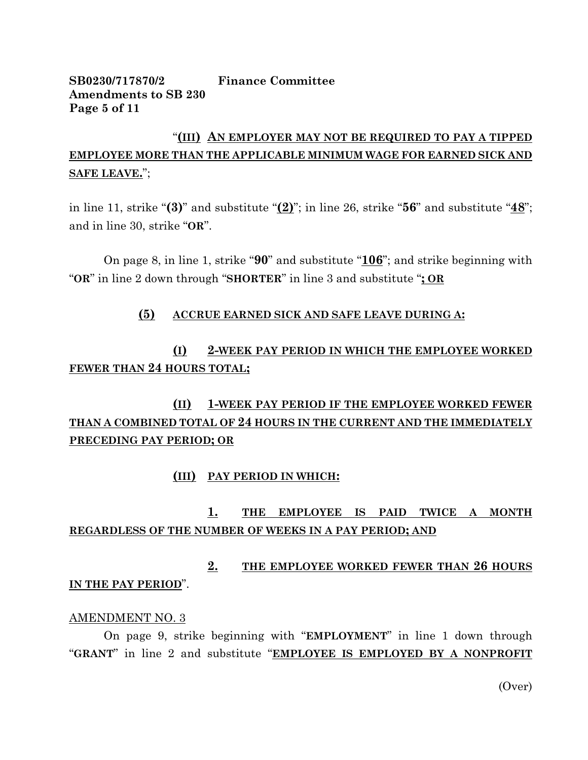### **SB0230/717870/2 Finance Committee Amendments to SB 230 Page 5 of 11**

## "**(III) AN EMPLOYER MAY NOT BE REQUIRED TO PAY A TIPPED EMPLOYEE MORE THAN THE APPLICABLE MINIMUM WAGE FOR EARNED SICK AND SAFE LEAVE.**";

in line 11, strike "**(3)**" and substitute "**(2)**"; in line 26, strike "**56**" and substitute "**48**"; and in line 30, strike "**OR**".

On page 8, in line 1, strike "**90**" and substitute "**106**"; and strike beginning with "**OR**" in line 2 down through "**SHORTER**" in line 3 and substitute "**; OR**

### **(5) ACCRUE EARNED SICK AND SAFE LEAVE DURING A:**

## **(I) 2-WEEK PAY PERIOD IN WHICH THE EMPLOYEE WORKED FEWER THAN 24 HOURS TOTAL;**

# **(II) 1-WEEK PAY PERIOD IF THE EMPLOYEE WORKED FEWER THAN A COMBINED TOTAL OF 24 HOURS IN THE CURRENT AND THE IMMEDIATELY PRECEDING PAY PERIOD; OR**

### **(III) PAY PERIOD IN WHICH:**

## **1. THE EMPLOYEE IS PAID TWICE A MONTH REGARDLESS OF THE NUMBER OF WEEKS IN A PAY PERIOD; AND**

## **2. THE EMPLOYEE WORKED FEWER THAN 26 HOURS IN THE PAY PERIOD**".

#### AMENDMENT NO. 3

On page 9, strike beginning with "**EMPLOYMENT**" in line 1 down through "**GRANT**" in line 2 and substitute "**EMPLOYEE IS EMPLOYED BY A NONPROFIT** 

(Over)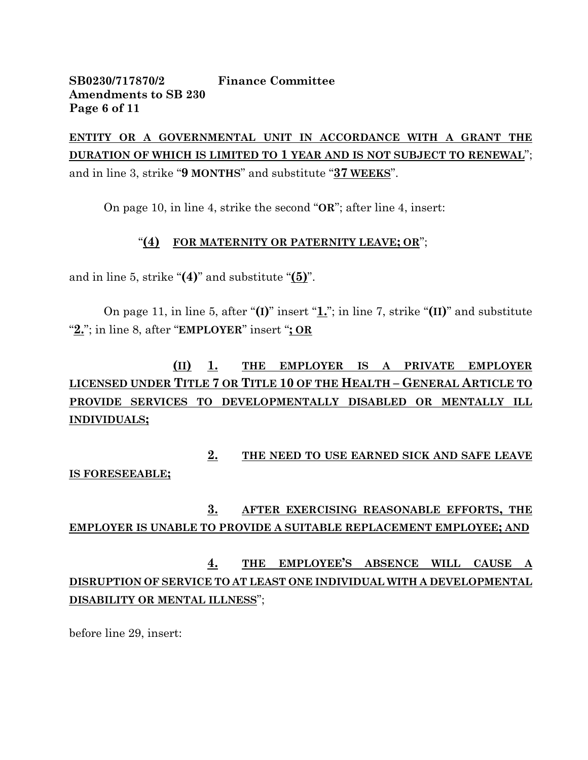### **SB0230/717870/2 Finance Committee Amendments to SB 230 Page 6 of 11**

**ENTITY OR A GOVERNMENTAL UNIT IN ACCORDANCE WITH A GRANT THE DURATION OF WHICH IS LIMITED TO 1 YEAR AND IS NOT SUBJECT TO RENEWAL**"; and in line 3, strike "**9 MONTHS**" and substitute "**37 WEEKS**".

On page 10, in line 4, strike the second "**OR**"; after line 4, insert:

### "**(4) FOR MATERNITY OR PATERNITY LEAVE; OR**";

and in line 5, strike "**(4)**" and substitute "**(5)**".

On page 11, in line 5, after "**(I)**" insert "**1.**"; in line 7, strike "**(II)**" and substitute "**2.**"; in line 8, after "**EMPLOYER**" insert "**; OR**

# **(II) 1. THE EMPLOYER IS A PRIVATE EMPLOYER LICENSED UNDER TITLE 7 OR TITLE 10 OF THE HEALTH – GENERAL ARTICLE TO PROVIDE SERVICES TO DEVELOPMENTALLY DISABLED OR MENTALLY ILL INDIVIDUALS;**

**2. THE NEED TO USE EARNED SICK AND SAFE LEAVE IS FORESEEABLE;**

## **3. AFTER EXERCISING REASONABLE EFFORTS, THE EMPLOYER IS UNABLE TO PROVIDE A SUITABLE REPLACEMENT EMPLOYEE; AND**

# **4. THE EMPLOYEE'S ABSENCE WILL CAUSE A DISRUPTION OF SERVICE TO AT LEAST ONE INDIVIDUAL WITH A DEVELOPMENTAL DISABILITY OR MENTAL ILLNESS**";

before line 29, insert: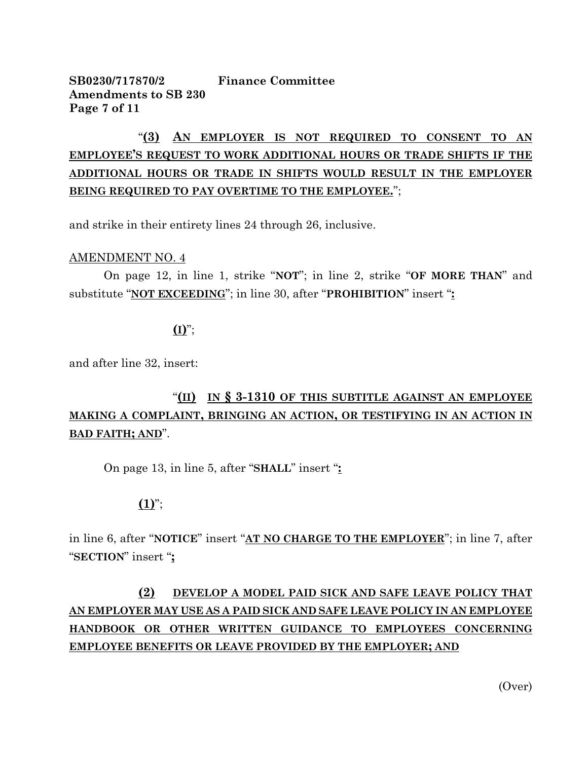## **SB0230/717870/2 Finance Committee Amendments to SB 230 Page 7 of 11**

# "**(3) AN EMPLOYER IS NOT REQUIRED TO CONSENT TO AN EMPLOYEE'S REQUEST TO WORK ADDITIONAL HOURS OR TRADE SHIFTS IF THE ADDITIONAL HOURS OR TRADE IN SHIFTS WOULD RESULT IN THE EMPLOYER BEING REQUIRED TO PAY OVERTIME TO THE EMPLOYEE.**";

and strike in their entirety lines 24 through 26, inclusive.

#### AMENDMENT NO. 4

On page 12, in line 1, strike "**NOT**"; in line 2, strike "**OF MORE THAN**" and substitute "**NOT EXCEEDING**"; in line 30, after "**PROHIBITION**" insert "**:**

### **(I)**";

and after line 32, insert:

# "**(II) IN § 3-1310 OF THIS SUBTITLE AGAINST AN EMPLOYEE MAKING A COMPLAINT, BRINGING AN ACTION, OR TESTIFYING IN AN ACTION IN BAD FAITH; AND**".

On page 13, in line 5, after "**SHALL**" insert "**:**

## **(1)**";

in line 6, after "**NOTICE**" insert "**AT NO CHARGE TO THE EMPLOYER**"; in line 7, after "**SECTION**" insert "**;**

# **(2) DEVELOP A MODEL PAID SICK AND SAFE LEAVE POLICY THAT AN EMPLOYER MAY USE AS A PAID SICK AND SAFE LEAVE POLICY IN AN EMPLOYEE HANDBOOK OR OTHER WRITTEN GUIDANCE TO EMPLOYEES CONCERNING EMPLOYEE BENEFITS OR LEAVE PROVIDED BY THE EMPLOYER; AND**

(Over)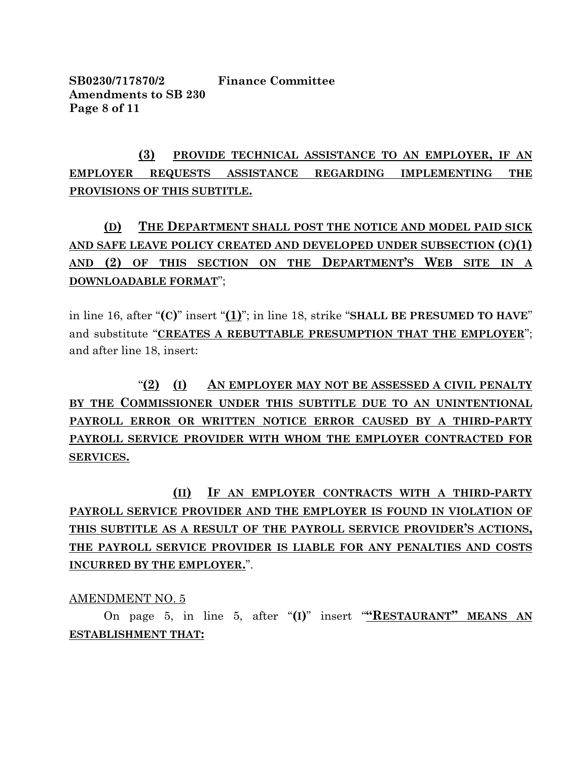**SB0230/717870/2 Finance Committee Amendments to SB 230 Page 8 of 11**

# **(3) PROVIDE TECHNICAL ASSISTANCE TO AN EMPLOYER, IF AN EMPLOYER REQUESTS ASSISTANCE REGARDING IMPLEMENTING THE PROVISIONS OF THIS SUBTITLE.**

# **(D) THE DEPARTMENT SHALL POST THE NOTICE AND MODEL PAID SICK AND SAFE LEAVE POLICY CREATED AND DEVELOPED UNDER SUBSECTION (C)(1) AND (2) OF THIS SECTION ON THE DEPARTMENT'S WEB SITE IN A DOWNLOADABLE FORMAT**";

in line 16, after "**(C)**" insert "**(1)**"; in line 18, strike "**SHALL BE PRESUMED TO HAVE**" and substitute "**CREATES A REBUTTABLE PRESUMPTION THAT THE EMPLOYER**"; and after line 18, insert:

"**(2) (I) AN EMPLOYER MAY NOT BE ASSESSED A CIVIL PENALTY BY THE COMMISSIONER UNDER THIS SUBTITLE DUE TO AN UNINTENTIONAL PAYROLL ERROR OR WRITTEN NOTICE ERROR CAUSED BY A THIRD-PARTY PAYROLL SERVICE PROVIDER WITH WHOM THE EMPLOYER CONTRACTED FOR SERVICES.**

**(II) IF AN EMPLOYER CONTRACTS WITH A THIRD-PARTY PAYROLL SERVICE PROVIDER AND THE EMPLOYER IS FOUND IN VIOLATION OF THIS SUBTITLE AS A RESULT OF THE PAYROLL SERVICE PROVIDER'S ACTIONS, THE PAYROLL SERVICE PROVIDER IS LIABLE FOR ANY PENALTIES AND COSTS INCURRED BY THE EMPLOYER.**".

### AMENDMENT NO. 5

On page 5, in line 5, after "**(I)**" insert "**"RESTAURANT" MEANS AN ESTABLISHMENT THAT:**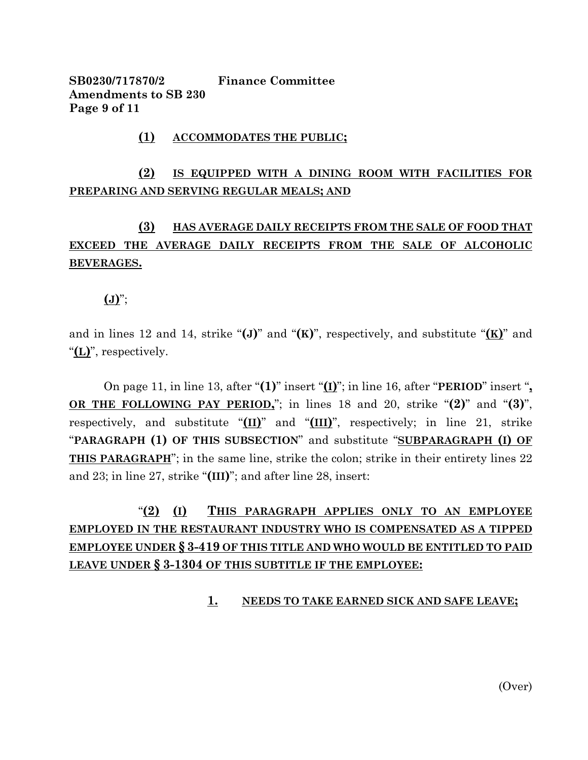**SB0230/717870/2 Finance Committee Amendments to SB 230 Page 9 of 11**

#### **(1) ACCOMMODATES THE PUBLIC;**

## **(2) IS EQUIPPED WITH A DINING ROOM WITH FACILITIES FOR PREPARING AND SERVING REGULAR MEALS; AND**

## **(3) HAS AVERAGE DAILY RECEIPTS FROM THE SALE OF FOOD THAT EXCEED THE AVERAGE DAILY RECEIPTS FROM THE SALE OF ALCOHOLIC BEVERAGES.**

**(J)**";

and in lines 12 and 14, strike "**(J)**" and "**(K)**", respectively, and substitute "**(K)**" and "**(L)**", respectively.

On page 11, in line 13, after "**(1)**" insert "**(I)**"; in line 16, after "**PERIOD**" insert "**, OR THE FOLLOWING PAY PERIOD,**"; in lines 18 and 20, strike "**(2)**" and "**(3)**", respectively, and substitute "**(II)**" and "**(III)**", respectively; in line 21, strike "**PARAGRAPH (1) OF THIS SUBSECTION**" and substitute "**SUBPARAGRAPH (I) OF THIS PARAGRAPH**"; in the same line, strike the colon; strike in their entirety lines 22 and 23; in line 27, strike "**(III)**"; and after line 28, insert:

# "**(2) (I) THIS PARAGRAPH APPLIES ONLY TO AN EMPLOYEE EMPLOYED IN THE RESTAURANT INDUSTRY WHO IS COMPENSATED AS A TIPPED EMPLOYEE UNDER § 3-419 OF THIS TITLE AND WHO WOULD BE ENTITLED TO PAID LEAVE UNDER § 3-1304 OF THIS SUBTITLE IF THE EMPLOYEE:**

#### **1. NEEDS TO TAKE EARNED SICK AND SAFE LEAVE;**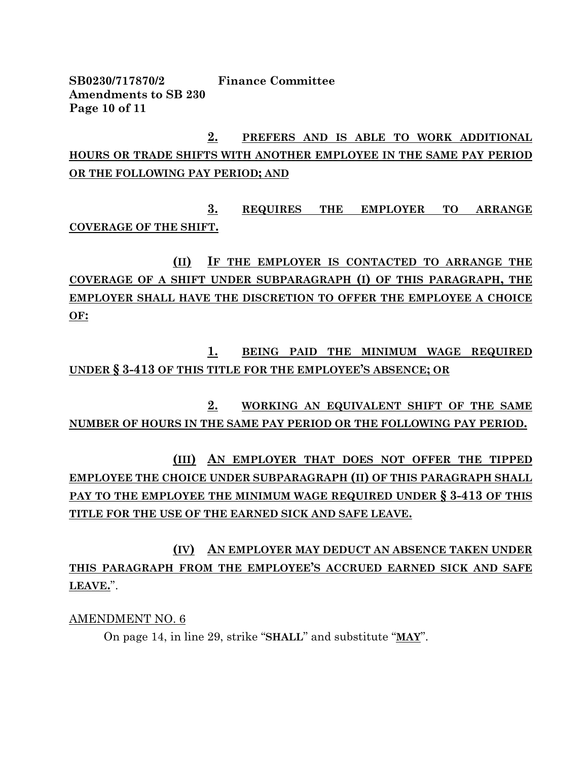**SB0230/717870/2 Finance Committee Amendments to SB 230 Page 10 of 11**

**2. PREFERS AND IS ABLE TO WORK ADDITIONAL HOURS OR TRADE SHIFTS WITH ANOTHER EMPLOYEE IN THE SAME PAY PERIOD OR THE FOLLOWING PAY PERIOD; AND**

**3. REQUIRES THE EMPLOYER TO ARRANGE COVERAGE OF THE SHIFT.**

**(II) IF THE EMPLOYER IS CONTACTED TO ARRANGE THE COVERAGE OF A SHIFT UNDER SUBPARAGRAPH (I) OF THIS PARAGRAPH, THE EMPLOYER SHALL HAVE THE DISCRETION TO OFFER THE EMPLOYEE A CHOICE OF:**

**1. BEING PAID THE MINIMUM WAGE REQUIRED UNDER § 3-413 OF THIS TITLE FOR THE EMPLOYEE'S ABSENCE; OR**

**2. WORKING AN EQUIVALENT SHIFT OF THE SAME NUMBER OF HOURS IN THE SAME PAY PERIOD OR THE FOLLOWING PAY PERIOD.**

**(III) AN EMPLOYER THAT DOES NOT OFFER THE TIPPED EMPLOYEE THE CHOICE UNDER SUBPARAGRAPH (II) OF THIS PARAGRAPH SHALL PAY TO THE EMPLOYEE THE MINIMUM WAGE REQUIRED UNDER § 3-413 OF THIS TITLE FOR THE USE OF THE EARNED SICK AND SAFE LEAVE.**

**(IV) AN EMPLOYER MAY DEDUCT AN ABSENCE TAKEN UNDER THIS PARAGRAPH FROM THE EMPLOYEE'S ACCRUED EARNED SICK AND SAFE LEAVE.**".

AMENDMENT NO. 6

On page 14, in line 29, strike "**SHALL**" and substitute "**MAY**".